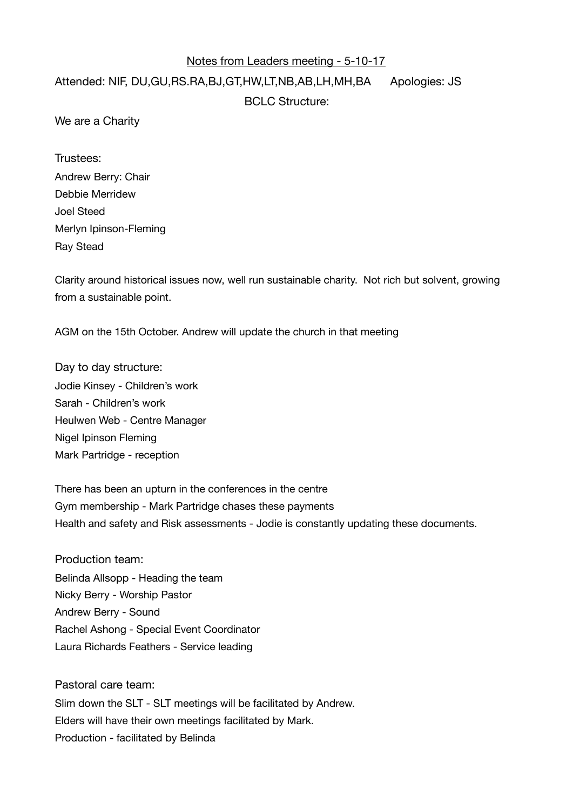## Notes from Leaders meeting - 5-10-17

## Attended: NIF, DU,GU,RS.RA,BJ,GT,HW,LT,NB,AB,LH,MH,BA Apologies: JS BCLC Structure:

We are a Charity

Trustees: Andrew Berry: Chair Debbie Merridew Joel Steed Merlyn Ipinson-Fleming Ray Stead

Clarity around historical issues now, well run sustainable charity. Not rich but solvent, growing from a sustainable point.

AGM on the 15th October. Andrew will update the church in that meeting

Day to day structure: Jodie Kinsey - Children's work Sarah - Children's work Heulwen Web - Centre Manager Nigel Ipinson Fleming Mark Partridge - reception

There has been an upturn in the conferences in the centre Gym membership - Mark Partridge chases these payments Health and safety and Risk assessments - Jodie is constantly updating these documents.

Production team: Belinda Allsopp - Heading the team Nicky Berry - Worship Pastor Andrew Berry - Sound Rachel Ashong - Special Event Coordinator Laura Richards Feathers - Service leading

Pastoral care team: Slim down the SLT - SLT meetings will be facilitated by Andrew. Elders will have their own meetings facilitated by Mark. Production - facilitated by Belinda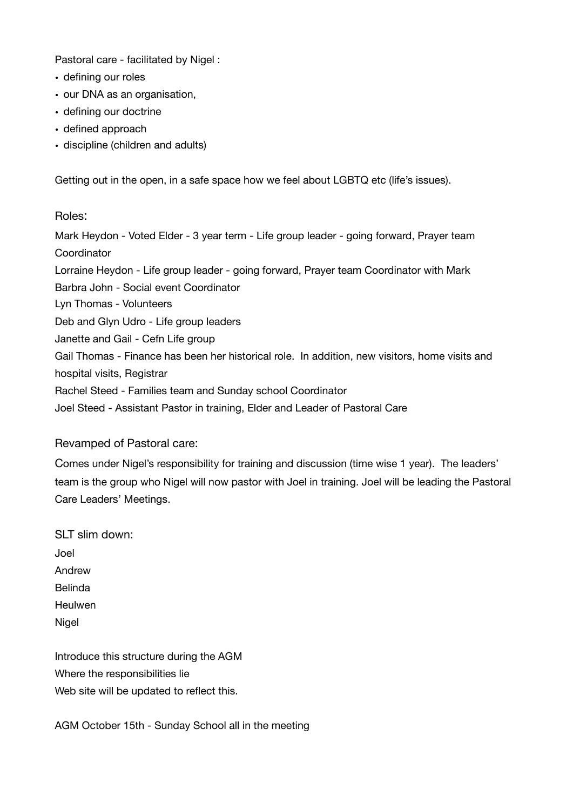Pastoral care - facilitated by Nigel :

- defining our roles
- our DNA as an organisation,
- defining our doctrine
- defined approach
- discipline (children and adults)

Getting out in the open, in a safe space how we feel about LGBTQ etc (life's issues).

## Roles:

Mark Heydon - Voted Elder - 3 year term - Life group leader - going forward, Prayer team **Coordinator** Lorraine Heydon - Life group leader - going forward, Prayer team Coordinator with Mark Barbra John - Social event Coordinator Lyn Thomas - Volunteers Deb and Glyn Udro - Life group leaders Janette and Gail - Cefn Life group Gail Thomas - Finance has been her historical role. In addition, new visitors, home visits and hospital visits, Registrar Rachel Steed - Families team and Sunday school Coordinator Joel Steed - Assistant Pastor in training, Elder and Leader of Pastoral Care

## Revamped of Pastoral care:

Comes under Nigel's responsibility for training and discussion (time wise 1 year). The leaders' team is the group who Nigel will now pastor with Joel in training. Joel will be leading the Pastoral Care Leaders' Meetings.

SLT slim down: Joel Andrew Belinda **Heulwen** Nigel

Introduce this structure during the AGM Where the responsibilities lie Web site will be updated to reflect this.

AGM October 15th - Sunday School all in the meeting